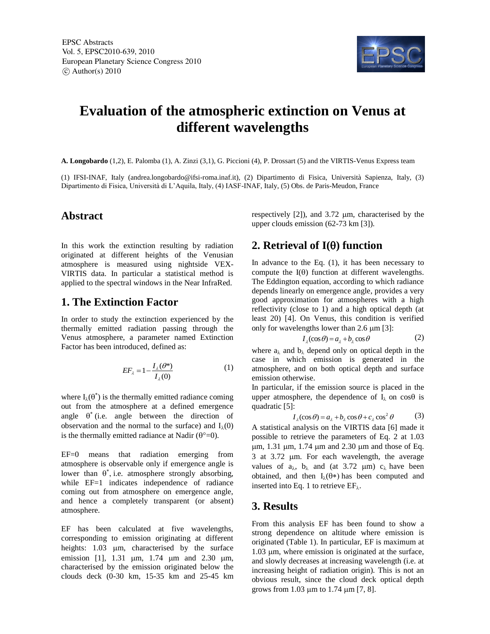

# **Evaluation of the atmospheric extinction on Venus at different wavelengths**

**A. Longobardo** (1,2), E. Palomba (1), A. Zinzi (3,1), G. Piccioni (4), P. Drossart (5) and the VIRTIS-Venus Express team

(1) IFSI-INAF, Italy (andrea.longobardo@ifsi-roma.inaf.it), (2) Dipartimento di Fisica, Università Sapienza, Italy, (3) Dipartimento di Fisica, Università di L'Aquila, Italy, (4) IASF-INAF, Italy, (5) Obs. de Paris-Meudon, France

## **Abstract**

In this work the extinction resulting by radiation originated at different heights of the Venusian atmosphere is measured using nightside VEX-VIRTIS data. In particular a statistical method is applied to the spectral windows in the Near InfraRed.

#### **1. The Extinction Factor**

In order to study the extinction experienced by the thermally emitted radiation passing through the Venus atmosphere, a parameter named Extinction Factor has been introduced, defined as:

$$
EF_{\lambda} = 1 - \frac{I_{\lambda}(\theta^*)}{I_{\lambda}(0)}\tag{1}
$$

where  $I_{\lambda}(\theta^*)$  is the thermally emitted radiance coming out from the atmosphere at a defined emergence angle  $\theta^*$  (i.e. angle between the direction of observation and the normal to the surface) and  $I_{\lambda}(0)$ is the thermally emitted radiance at Nadir  $(\theta^{\circ}=0)$ .

EF=0 means that radiation emerging from atmosphere is observable only if emergence angle is lower than  $\theta^*$ , i.e. atmosphere strongly absorbing, while EF=1 indicates independence of radiance coming out from atmosphere on emergence angle, and hence a completely transparent (or absent) atmosphere.

EF has been calculated at five wavelengths, corresponding to emission originating at different heights: 1.03 um, characterised by the surface emission [1], 1.31  $\mu$ m, 1.74  $\mu$ m and 2.30  $\mu$ m, characterised by the emission originated below the clouds deck (0-30 km, 15-35 km and 25-45 km respectively  $[2]$ ), and 3.72  $\mu$ m, characterised by the upper clouds emission (62-73 km [3]).

## **2. Retrieval of**  $I(\theta)$  **function**

In advance to the Eq.  $(1)$ , it has been necessary to compute the  $I(\theta)$  function at different wavelengths. The Eddington equation, according to which radiance depends linearly on emergence angle, provides a very good approximation for atmospheres with a high reflectivity (close to 1) and a high optical depth (at least 20) [4]. On Venus, this condition is verified only for wavelengths lower than  $2.6 \mu m$  [3]:

$$
I_{\lambda}(\cos \theta) = a_{\lambda} + b_{\lambda} \cos \theta \tag{2}
$$

where  $a_{\lambda}$  and  $b_{\lambda}$  depend only on optical depth in the case in which emission is generated in the atmosphere, and on both optical depth and surface emission otherwise.

In particular, if the emission source is placed in the upper atmosphere, the dependence of  $I_{\lambda}$  on cos $\theta$  is quadratic [5]:

$$
\begin{aligned} \n\text{I}_{\lambda}(\cos \theta) &= a_{\lambda} + b_{\lambda} \cos \theta + c_{\lambda} \cos^2 \theta \tag{3} \n\end{aligned}
$$

A statistical analysis on the VIRTIS data [6] made it possible to retrieve the parameters of Eq. 2 at 1.03  $\mu$ m, 1.31  $\mu$ m, 1.74  $\mu$ m and 2.30  $\mu$ m and those of Eq. 3 at 3.72 µm. For each wavelength, the average values of  $a_{\lambda}$ ,  $b_{\lambda}$  and (at 3.72 µm)  $c_{\lambda}$  have been obtained, and then  $I_{\lambda}(\theta^*)$  has been computed and inserted into Eq. 1 to retrieve  $EF_{\lambda}$ .

## **3. Results**

From this analysis EF has been found to show a strong dependence on altitude where emission is originated (Table 1). In particular, EF is maximum at  $1.03 \mu m$ , where emission is originated at the surface, and slowly decreases at increasing wavelength (i.e. at increasing height of radiation origin). This is not an obvious result, since the cloud deck optical depth grows from 1.03  $\mu$ m to 1.74  $\mu$ m [7, 8].